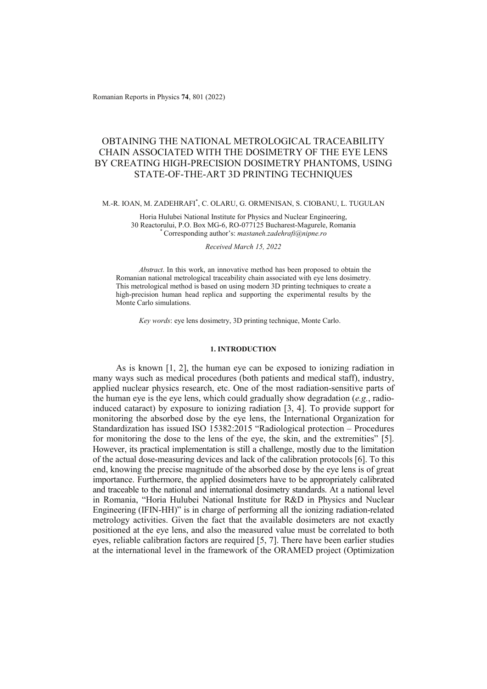Romanian Reports in Physics **74**, 801 (2022)

# OBTAINING THE NATIONAL METROLOGICAL TRACEABILITY CHAIN ASSOCIATED WITH THE DOSIMETRY OF THE EYE LENS BY CREATING HIGH-PRECISION DOSIMETRY PHANTOMS, USING STATE-OF-THE-ART 3D PRINTING TECHNIQUES

# M.-R. IOAN, M. ZADEHRAFI\* , C. OLARU, G. ORMENISAN, S. CIOBANU, L. TUGULAN

Horia Hulubei National Institute for Physics and Nuclear Engineering, 30 Reactorului, P.O. Box MG-6, RO-077125 Bucharest-Magurele, Romania \* Corresponding author's: *mastaneh.zadehrafi@nipne.ro* 

### *Received March 15, 2022*

*Abstract*. In this work, an innovative method has been proposed to obtain the Romanian national metrological traceability chain associated with eye lens dosimetry. This metrological method is based on using modern 3D printing techniques to create a high-precision human head replica and supporting the experimental results by the Monte Carlo simulations.

*Key words*: eye lens dosimetry, 3D printing technique, Monte Carlo.

### **1. INTRODUCTION**

As is known [1, 2], the human eye can be exposed to ionizing radiation in many ways such as medical procedures (both patients and medical staff), industry, applied nuclear physics research, etc. One of the most radiation-sensitive parts of the human eye is the eye lens, which could gradually show degradation (*e.g.*, radioinduced cataract) by exposure to ionizing radiation [3, 4]. To provide support for monitoring the absorbed dose by the eye lens, the International Organization for Standardization has issued ISO 15382:2015 "Radiological protection – Procedures for monitoring the dose to the lens of the eye, the skin, and the extremities" [5]. However, its practical implementation is still a challenge, mostly due to the limitation of the actual dose-measuring devices and lack of the calibration protocols [6]. To this end, knowing the precise magnitude of the absorbed dose by the eye lens is of great importance. Furthermore, the applied dosimeters have to be appropriately calibrated and traceable to the national and international dosimetry standards. At a national level in Romania, "Horia Hulubei National Institute for R&D in Physics and Nuclear Engineering (IFIN-HH)" is in charge of performing all the ionizing radiation-related metrology activities. Given the fact that the available dosimeters are not exactly positioned at the eye lens, and also the measured value must be correlated to both eyes, reliable calibration factors are required [5, 7]. There have been earlier studies at the international level in the framework of the ORAMED project (Optimization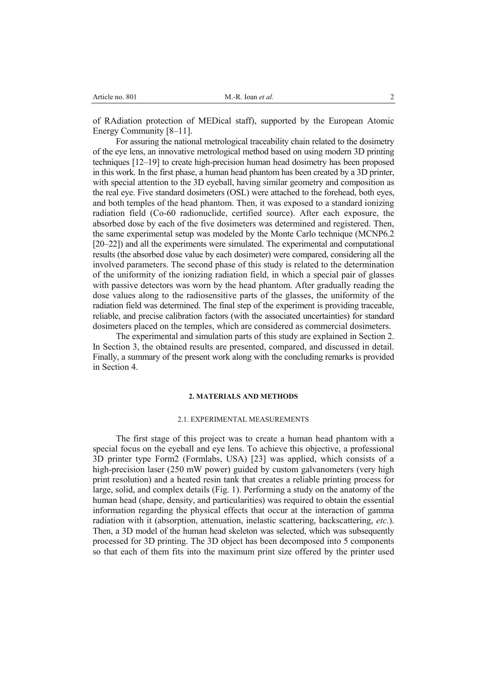of RAdiation protection of MEDical staff), supported by the European Atomic Energy Community [8–11].

For assuring the national metrological traceability chain related to the dosimetry of the eye lens, an innovative metrological method based on using modern 3D printing techniques [12–19] to create high-precision human head dosimetry has been proposed in this work. In the first phase, a human head phantom has been created by a 3D printer, with special attention to the 3D eyeball, having similar geometry and composition as the real eye. Five standard dosimeters (OSL) were attached to the forehead, both eyes, and both temples of the head phantom. Then, it was exposed to a standard ionizing radiation field (Co-60 radionuclide, certified source). After each exposure, the absorbed dose by each of the five dosimeters was determined and registered. Then, the same experimental setup was modeled by the Monte Carlo technique (MCNP6.2 [20–22]) and all the experiments were simulated. The experimental and computational results (the absorbed dose value by each dosimeter) were compared, considering all the involved parameters. The second phase of this study is related to the determination of the uniformity of the ionizing radiation field, in which a special pair of glasses with passive detectors was worn by the head phantom. After gradually reading the dose values along to the radiosensitive parts of the glasses, the uniformity of the radiation field was determined. The final step of the experiment is providing traceable, reliable, and precise calibration factors (with the associated uncertainties) for standard dosimeters placed on the temples, which are considered as commercial dosimeters.

The experimental and simulation parts of this study are explained in Section 2. In Section 3, the obtained results are presented, compared, and discussed in detail. Finally, a summary of the present work along with the concluding remarks is provided in Section 4.

#### **2. MATERIALS AND METHODS**

# 2.1. EXPERIMENTAL MEASUREMENTS

The first stage of this project was to create a human head phantom with a special focus on the eyeball and eye lens. To achieve this objective, a professional 3D printer type Form2 (Formlabs, USA) [23] was applied, which consists of a high-precision laser (250 mW power) guided by custom galvanometers (very high print resolution) and a heated resin tank that creates a reliable printing process for large, solid, and complex details (Fig. 1). Performing a study on the anatomy of the human head (shape, density, and particularities) was required to obtain the essential information regarding the physical effects that occur at the interaction of gamma radiation with it (absorption, attenuation, inelastic scattering, backscattering, *etc.*). Then, a 3D model of the human head skeleton was selected, which was subsequently processed for 3D printing. The 3D object has been decomposed into 5 components so that each of them fits into the maximum print size offered by the printer used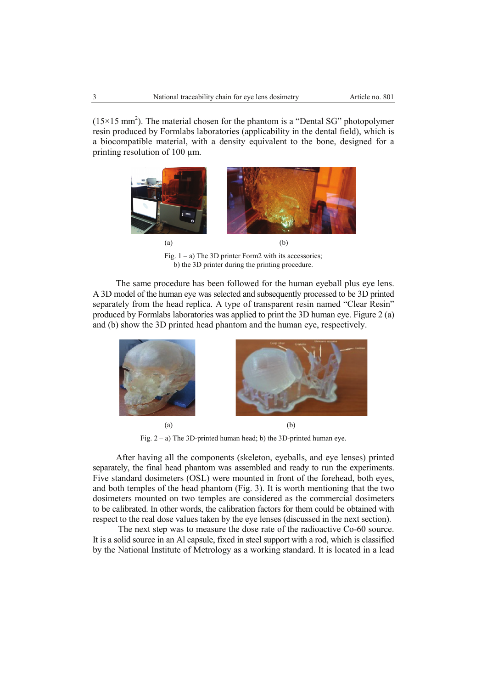$(15\times15 \text{ mm}^2)$ . The material chosen for the phantom is a "Dental SG" photopolymer resin produced by Formlabs laboratories (applicability in the dental field), which is a biocompatible material, with a density equivalent to the bone, designed for a printing resolution of 100 um.



Fig.  $1 - a$ ) The 3D printer Form2 with its accessories; b) the 3D printer during the printing procedure.

The same procedure has been followed for the human eyeball plus eye lens. A 3D model of the human eye was selected and subsequently processed to be 3D printed separately from the head replica. A type of transparent resin named "Clear Resin" produced by Formlabs laboratories was applied to print the 3D human eye. Figure 2 (a) and (b) show the 3D printed head phantom and the human eye, respectively.



Fig.  $2 - a$ ) The 3D-printed human head; b) the 3D-printed human eye.

After having all the components (skeleton, eyeballs, and eye lenses) printed separately, the final head phantom was assembled and ready to run the experiments. Five standard dosimeters (OSL) were mounted in front of the forehead, both eyes, and both temples of the head phantom (Fig. 3). It is worth mentioning that the two dosimeters mounted on two temples are considered as the commercial dosimeters to be calibrated. In other words, the calibration factors for them could be obtained with respect to the real dose values taken by the eye lenses (discussed in the next section).

 The next step was to measure the dose rate of the radioactive Co-60 source. It is a solid source in an Al capsule, fixed in steel support with a rod, which is classified by the National Institute of Metrology as a working standard. It is located in a lead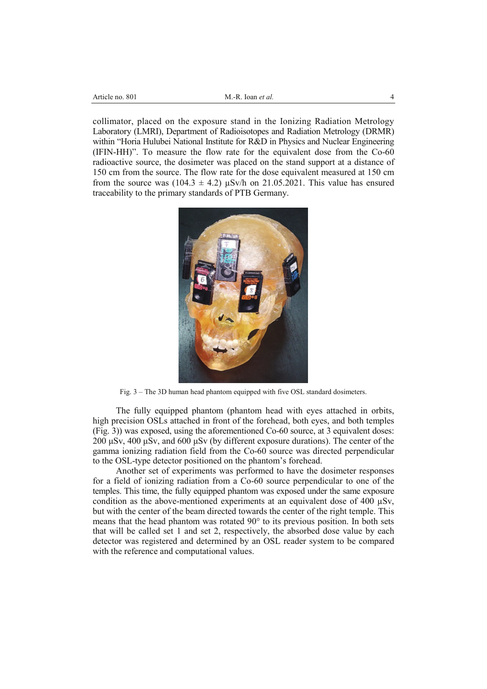| Article no. 801 |  |
|-----------------|--|
|                 |  |

collimator, placed on the exposure stand in the Ionizing Radiation Metrology Laboratory (LMRI), Department of Radioisotopes and Radiation Metrology (DRMR) within "Horia Hulubei National Institute for R&D in Physics and Nuclear Engineering (IFIN-HH)". To measure the flow rate for the equivalent dose from the Co-60 radioactive source, the dosimeter was placed on the stand support at a distance of 150 cm from the source. The flow rate for the dose equivalent measured at 150 cm from the source was  $(104.3 \pm 4.2)$   $\mu$ Sv/h on 21.05.2021. This value has ensured traceability to the primary standards of PTB Germany.



Fig. 3 – The 3D human head phantom equipped with five OSL standard dosimeters.

The fully equipped phantom (phantom head with eyes attached in orbits, high precision OSLs attached in front of the forehead, both eyes, and both temples (Fig. 3)) was exposed, using the aforementioned Co-60 source, at 3 equivalent doses: 200 μSv, 400 μSv, and 600 μSv (by different exposure durations). The center of the gamma ionizing radiation field from the Co-60 source was directed perpendicular to the OSL-type detector positioned on the phantom's forehead.

Another set of experiments was performed to have the dosimeter responses for a field of ionizing radiation from a Co-60 source perpendicular to one of the temples. This time, the fully equipped phantom was exposed under the same exposure condition as the above-mentioned experiments at an equivalent dose of 400 µSv, but with the center of the beam directed towards the center of the right temple. This means that the head phantom was rotated 90° to its previous position. In both sets that will be called set 1 and set 2, respectively, the absorbed dose value by each detector was registered and determined by an OSL reader system to be compared with the reference and computational values.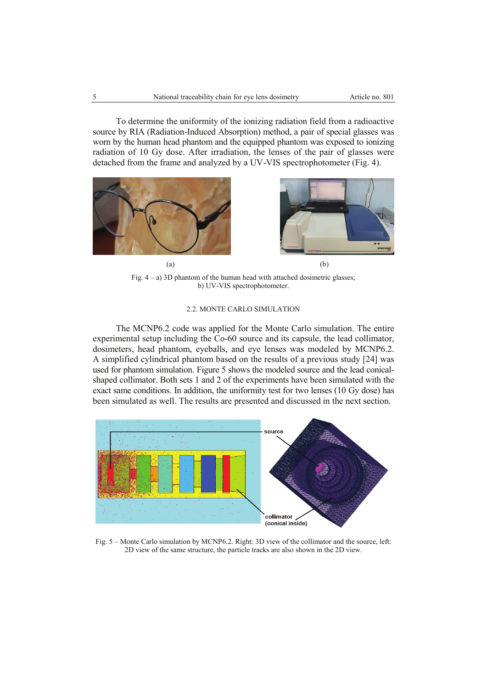To determine the uniformity of the ionizing radiation field from a radioactive source by RIA (Radiation-Induced Absorption) method, a pair of special glasses was worn by the human head phantom and the equipped phantom was exposed to ionizing radiation of 10 Gy dose. After irradiation, the lenses of the pair of glasses were detached from the frame and analyzed by a UV-VIS spectrophotometer (Fig. 4).



Fig.  $4 - a$ ) 3D phantom of the human head with attached dosimetric glasses; b) UV-VIS spectrophotometer.

# 2.2. MONTE CARLO SIMULATION

The MCNP6.2 code was applied for the Monte Carlo simulation. The entire experimental setup including the Co-60 source and its capsule, the lead collimator, dosimeters, head phantom, eyeballs, and eye lenses was modeled by MCNP6.2. A simplified cylindrical phantom based on the results of a previous study [24] was used for phantom simulation. Figure 5 shows the modeled source and the lead conicalshaped collimator. Both sets 1 and 2 of the experiments have been simulated with the exact same conditions. In addition, the uniformity test for two lenses (10 Gy dose) has been simulated as well. The results are presented and discussed in the next section.



Fig. 5 – Monte Carlo simulation by MCNP6.2. Right: 3D view of the collimator and the source, left: 2D view of the same structure, the particle tracks are also shown in the 2D view.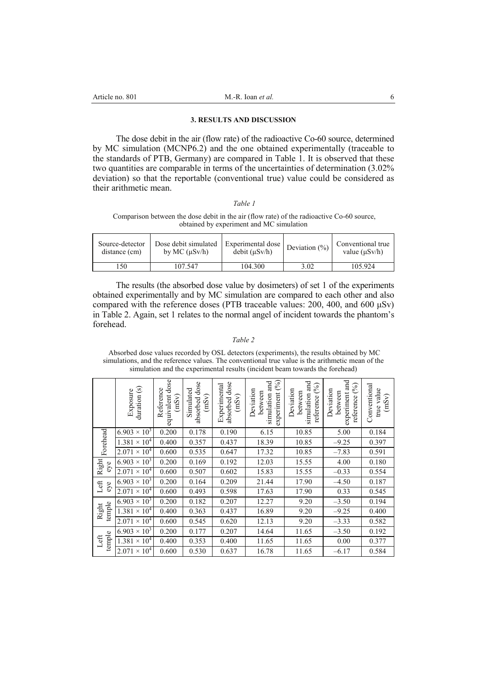## **3. RESULTS AND DISCUSSION**

The dose debit in the air (flow rate) of the radioactive Co-60 source, determined by MC simulation (MCNP6.2) and the one obtained experimentally (traceable to the standards of PTB, Germany) are compared in Table 1. It is observed that these two quantities are comparable in terms of the uncertainties of determination (3.02% deviation) so that the reportable (conventional true) value could be considered as their arithmetic mean.

# *Table 1*

### Comparison between the dose debit in the air (flow rate) of the radioactive Co-60 source, obtained by experiment and MC simulation

| Source-detector | Dose debit simulated | Experimental dose | Deviation $(\%)$ | Conventional true  |
|-----------------|----------------------|-------------------|------------------|--------------------|
| distance (cm)   | by MC $(\mu Sv/h)$   | debit (uSv/h)     |                  | value $(\mu Sv/h)$ |
| 150             | 107.547              | 104.300           | 3.02             | 105.924            |

The results (the absorbed dose value by dosimeters) of set 1 of the experiments obtained experimentally and by MC simulation are compared to each other and also compared with the reference doses (PTB traceable values: 200, 400, and 600 μSv) in Table 2. Again, set 1 relates to the normal angel of incident towards the phantom's forehead.

#### *Table 2*

 Absorbed dose values recorded by OSL detectors (experiments), the results obtained by MC simulations, and the reference values. The conventional true value is the arithmetic mean of the simulation and the experimental results (incident beam towards the forehead)

|                 | $\frac{d$ uration $(s)$<br>Exposure | dose<br>Reference<br>equivalent<br>(mSv) | dose<br>Simulated<br>(mSv)<br>absorbed | dose<br>Experimental<br>(mSv)<br>absorbed | (96)<br>nd<br>and<br>Deviation<br>between<br>experiment<br>simulation | simulation and<br>(6)<br>Deviation<br>between<br>reference | and<br>(96)<br>Deviation<br>between<br>experiment<br>reference | Conventional<br>true value<br>(mSv) |
|-----------------|-------------------------------------|------------------------------------------|----------------------------------------|-------------------------------------------|-----------------------------------------------------------------------|------------------------------------------------------------|----------------------------------------------------------------|-------------------------------------|
|                 | $\times$ 10 <sup>3</sup><br>6.903   | 0.200                                    | 0.178                                  | 0.190                                     | 6.15                                                                  | 10.85                                                      | 5.00                                                           | 0.184                               |
| Forehead        | $1.381 \times 10^{4}$               | 0.400                                    | 0.357                                  | 0.437                                     | 18.39                                                                 | 10.85                                                      | $-9.25$                                                        | 0.397                               |
|                 | $2.071 \times 10^4$                 | 0.600                                    | 0.535                                  | 0.647                                     | 17.32                                                                 | 10.85                                                      | $-7.83$                                                        | 0.591                               |
| Right<br>eye    | $6.903 \times 10^{3}$               | 0.200                                    | 0.169                                  | 0.192                                     | 12.03                                                                 | 15.55                                                      | 4.00                                                           | 0.180                               |
|                 | $2.071 \times 10^{4}$               | 0.600                                    | 0.507                                  | 0.602                                     | 15.83                                                                 | 15.55                                                      | $-0.33$                                                        | 0.554                               |
| Left<br>eye     | $6.903 \times 10^{3}$               | 0.200                                    | 0.164                                  | 0.209                                     | 21.44                                                                 | 17.90                                                      | $-4.50$                                                        | 0.187                               |
|                 | $2.071 \times 10^{4}$               | 0.600                                    | 0.493                                  | 0.598                                     | 17.63                                                                 | 17.90                                                      | 0.33                                                           | 0.545                               |
|                 | $6.903 \times 10^{3}$               | 0.200                                    | 0.182                                  | 0.207                                     | 12.27                                                                 | 9.20                                                       | $-3.50$                                                        | 0.194                               |
| temple<br>Right | $1.381 \times 10^{4}$               | 0.400                                    | 0.363                                  | 0.437                                     | 16.89                                                                 | 9.20                                                       | $-9.25$                                                        | 0.400                               |
|                 | $2.071 \times 10^4$                 | 0.600                                    | 0.545                                  | 0.620                                     | 12.13                                                                 | 9.20                                                       | $-3.33$                                                        | 0.582                               |
|                 | $\times$ 10 <sup>3</sup><br>6.903   | 0.200                                    | 0.177                                  | 0.207                                     | 14.64                                                                 | 11.65                                                      | $-3.50$                                                        | 0.192                               |
| temple<br>Left  | $\times 10^4$<br>1.381              | 0.400                                    | 0.353                                  | 0.400                                     | 11.65                                                                 | 11.65                                                      | 0.00                                                           | 0.377                               |
|                 | $\times$ 10 <sup>4</sup><br>2.071   | 0.600                                    | 0.530                                  | 0.637                                     | 16.78                                                                 | 11.65                                                      | $-6.17$                                                        | 0.584                               |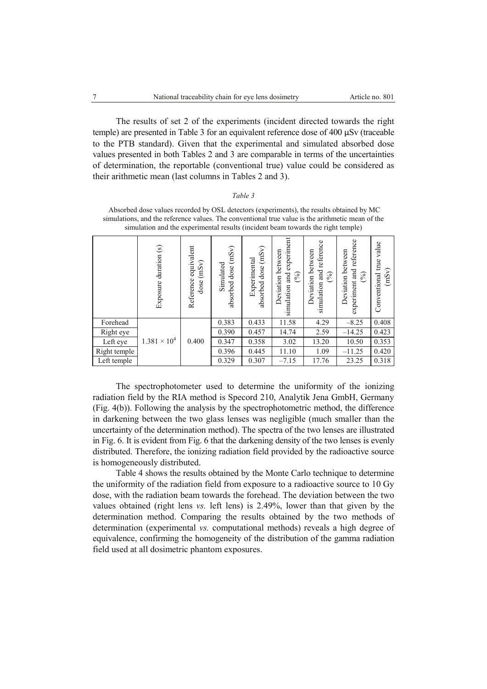The results of set 2 of the experiments (incident directed towards the right temple) are presented in Table 3 for an equivalent reference dose of 400 μSv (traceable to the PTB standard). Given that the experimental and simulated absorbed dose values presented in both Tables 2 and 3 are comparable in terms of the uncertainties of determination, the reportable (conventional true) value could be considered as their arithmetic mean (last columns in Tables 2 and 3).

#### *Table 3*

|              | Exposure duration (s) | equivalent<br>(mSv)<br>Reference<br>dose | (mSv)<br>Simulated<br>dose<br>absorbed | (mSv)<br>Experimental<br>dose<br>absorbed | experiment<br>Deviation between<br>simulation and<br>$(\%)$ | and reference<br>Deviation between<br>$\mathcal{S}_0$<br>simulation | and reference<br>Deviation between<br>$\mathcal{S}_0$<br>experiment | value<br>true<br>(mSv)<br>Conventional |
|--------------|-----------------------|------------------------------------------|----------------------------------------|-------------------------------------------|-------------------------------------------------------------|---------------------------------------------------------------------|---------------------------------------------------------------------|----------------------------------------|
| Forehead     |                       |                                          | 0.383                                  | 0.433                                     | 11.58                                                       | 4.29                                                                | $-8.25$                                                             | 0.408                                  |
| Right eye    |                       |                                          | 0.390                                  | 0.457                                     | 14.74                                                       | 2.59                                                                | $-14.25$                                                            | 0.423                                  |
| Left eye     | $1.381 \times 10^{4}$ | 0.400                                    | 0.347                                  | 0.358                                     | 3.02                                                        | 13.20                                                               | 10.50                                                               | 0.353                                  |
| Right temple |                       |                                          | 0.396                                  | 0.445                                     | 11.10                                                       | 1.09                                                                | $-11.25$                                                            | 0.420                                  |
| Left temple  |                       |                                          | 0.329                                  | 0.307                                     | $-7.15$                                                     | 17.76                                                               | 23.25                                                               | 0.318                                  |

 Absorbed dose values recorded by OSL detectors (experiments), the results obtained by MC simulations, and the reference values. The conventional true value is the arithmetic mean of the simulation and the experimental results (incident beam towards the right temple)

The spectrophotometer used to determine the uniformity of the ionizing radiation field by the RIA method is Specord 210, Analytik Jena GmbH, Germany (Fig. 4(b)). Following the analysis by the spectrophotometric method, the difference in darkening between the two glass lenses was negligible (much smaller than the uncertainty of the determination method). The spectra of the two lenses are illustrated in Fig. 6. It is evident from Fig. 6 that the darkening density of the two lenses is evenly distributed. Therefore, the ionizing radiation field provided by the radioactive source is homogeneously distributed.

Table 4 shows the results obtained by the Monte Carlo technique to determine the uniformity of the radiation field from exposure to a radioactive source to 10 Gy dose, with the radiation beam towards the forehead. The deviation between the two values obtained (right lens *vs.* left lens) is 2.49%, lower than that given by the determination method. Comparing the results obtained by the two methods of determination (experimental *vs.* computational methods) reveals a high degree of equivalence, confirming the homogeneity of the distribution of the gamma radiation field used at all dosimetric phantom exposures.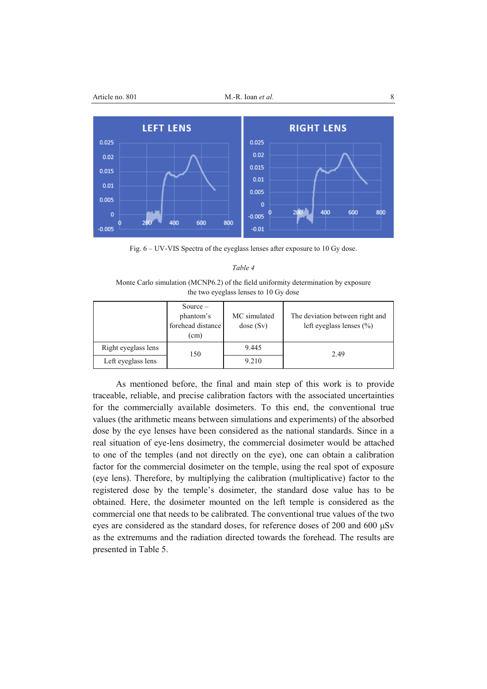

Fig. 6 – UV-VIS Spectra of the eyeglass lenses after exposure to 10 Gy dose.

### *Table 4*

Monte Carlo simulation (MCNP6.2) of the field uniformity determination by exposure the two eyeglass lenses to 10 Gy dose

|                     | $Source -$<br>phantom's<br>forehead distance<br>$\text{cm}$ ) | MC simulated<br>dose(Sv) | The deviation between right and<br>left eyeglass lenses $(\% )$ |
|---------------------|---------------------------------------------------------------|--------------------------|-----------------------------------------------------------------|
| Right eyeglass lens | 150                                                           | 9.445                    | 2.49                                                            |
| Left eyeglass lens  |                                                               | 9.210                    |                                                                 |

As mentioned before, the final and main step of this work is to provide traceable, reliable, and precise calibration factors with the associated uncertainties for the commercially available dosimeters. To this end, the conventional true values (the arithmetic means between simulations and experiments) of the absorbed dose by the eye lenses have been considered as the national standards. Since in a real situation of eye-lens dosimetry, the commercial dosimeter would be attached to one of the temples (and not directly on the eye), one can obtain a calibration factor for the commercial dosimeter on the temple, using the real spot of exposure (eye lens). Therefore, by multiplying the calibration (multiplicative) factor to the registered dose by the temple's dosimeter, the standard dose value has to be obtained. Here, the dosimeter mounted on the left temple is considered as the commercial one that needs to be calibrated. The conventional true values of the two eyes are considered as the standard doses, for reference doses of 200 and 600 μSv as the extremums and the radiation directed towards the forehead. The results are presented in Table 5.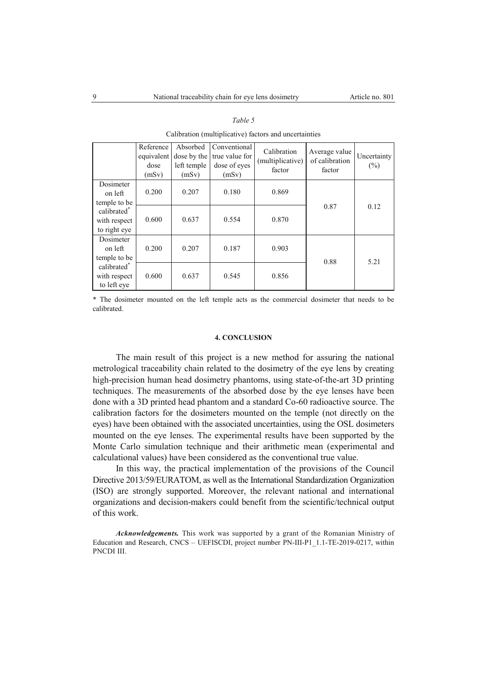|                                                         | Reference<br>equivalent<br>dose<br>(mSv) | Absorbed<br>dose by the<br>left temple<br>(mSv) | Conventional<br>true value for<br>dose of eyes<br>(mSv) | Calibration<br>(multiplicative)<br>factor | Average value<br>of calibration<br>factor | Uncertainty<br>(%) |
|---------------------------------------------------------|------------------------------------------|-------------------------------------------------|---------------------------------------------------------|-------------------------------------------|-------------------------------------------|--------------------|
| Dosimeter<br>on left<br>temple to be                    | 0.200                                    | 0.207                                           | 0.180                                                   | 0.869                                     |                                           | 0.12               |
| calibrated <sup>®</sup><br>with respect<br>to right eye | 0.600                                    | 0.637                                           | 0.554                                                   | 0.870                                     | 0.87                                      |                    |
| Dosimeter<br>on left<br>temple to be                    | 0.200                                    | 0.207                                           | 0.187                                                   | 0.903                                     | 0.88                                      | 5.21               |
| calibrated <sup>*</sup><br>with respect<br>to left eye  | 0.600                                    | 0.637                                           | 0.545                                                   | 0.856                                     |                                           |                    |

### *Table 5*

Calibration (multiplicative) factors and uncertainties

\* The dosimeter mounted on the left temple acts as the commercial dosimeter that needs to be calibrated.

### **4. CONCLUSION**

The main result of this project is a new method for assuring the national metrological traceability chain related to the dosimetry of the eye lens by creating high-precision human head dosimetry phantoms, using state-of-the-art 3D printing techniques. The measurements of the absorbed dose by the eye lenses have been done with a 3D printed head phantom and a standard Co-60 radioactive source. The calibration factors for the dosimeters mounted on the temple (not directly on the eyes) have been obtained with the associated uncertainties, using the OSL dosimeters mounted on the eye lenses. The experimental results have been supported by the Monte Carlo simulation technique and their arithmetic mean (experimental and calculational values) have been considered as the conventional true value.

In this way, the practical implementation of the provisions of the Council Directive 2013/59/EURATOM, as well as the International Standardization Organization (ISO) are strongly supported. Moreover, the relevant national and international organizations and decision-makers could benefit from the scientific/technical output of this work.

*Acknowledgements.* This work was supported by a grant of the Romanian Ministry of Education and Research, CNCS – UEFISCDI, project number PN-III-P1\_1.1-TE-2019-0217, within PNCDI III.